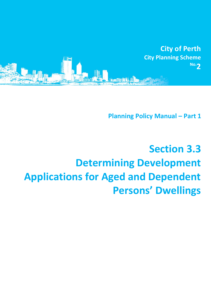

**Planning Policy Manual - Part 1** 

## **Section 3.3 Determining Development Applications for Aged and Dependent Persons' Dwellings**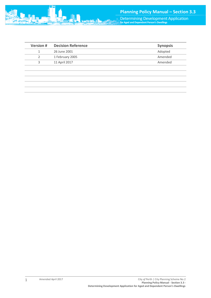Determining Development Application **for Aged and Dependent Person's Dwellings**

| $\sim$ $\blacksquare$ |                             |  |
|-----------------------|-----------------------------|--|
|                       | <b>THE REAL PROPERTY OF</b> |  |

| 26 June 2001         | Adopted |
|----------------------|---------|
| 1 February 2005<br>2 | Amended |
| 11 April 2017<br>3   | Amended |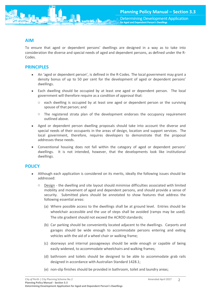

To ensure that aged or dependent persons' dwellings are designed in a way as to take into consideration the diverse and special needs of aged and dependent persons, as defined under the R-Codes.

## **PRINCIPLES**

- An 'aged or dependent person', is defined in the R-Codes. The local government may grant a density bonus of up to 50 per cent for the development of aged or dependent persons' dwellings.
- Each dwelling should be occupied by at least one aged or dependent person. The local government will therefore require as a condition of approval that:
	- o each dwelling is occupied by at least one aged or dependent person or the surviving spouse of that person; and
	- o The registered strata plan of the development endorses the occupancy requirement outlined above.
- Aged or dependent person dwelling proposals should take into account the diverse and special needs of their occupants in the areas of design, location and support services. The local government, therefore, requires developers to demonstrate that the proposal addresses these needs.
- Conventional housing does not fall within the category of aged or dependent persons' dwellings. It is not intended, however, that the developments look like institutional dwellings.

## **POLICY**

- Although each application is considered on its merits, ideally the following issues should be addressed:
	- o Design the dwelling and site layout should minimise difficulties associated with limited mobility and movement of aged and dependent persons, and should provide a sense of security. Submitted plans should be annotated to show features that address the following essential areas:
		- (a) Where possible access to the dwellings shall be at ground level. Entries should be wheelchair accessible and the use of steps shall be avoided (ramps may be used). The site gradient should not exceed the ACROD standards;
		- (b) Car parking should be conveniently located adjacent to the dwellings. Carports and garages should be wide enough to accommodate persons entering and exiting vehicles with the aid of a wheel chair or walking frame;
		- (c) doorways and internal passageways should be wide enough or capable of being easily widened, to accommodate wheelchairs and walking frames;
		- (d) bathroom and toilets should be designed to be able to accommodate grab rails designed in accordance with Australian Standard 1428.1;
		- (e) non-slip finishes should be provided in bathroom, toilet and laundry areas;